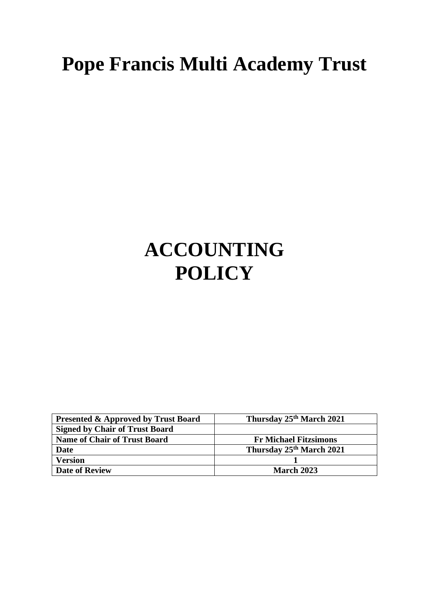# **Pope Francis Multi Academy Trust**

# **ACCOUNTING POLICY**

| <b>Presented &amp; Approved by Trust Board</b> | Thursday 25 <sup>th</sup> March 2021 |
|------------------------------------------------|--------------------------------------|
| <b>Signed by Chair of Trust Board</b>          |                                      |
| <b>Name of Chair of Trust Board</b>            | <b>Fr Michael Fitzsimons</b>         |
| Date                                           | Thursday 25th March 2021             |
| <b>Version</b>                                 |                                      |
| <b>Date of Review</b>                          | <b>March 2023</b>                    |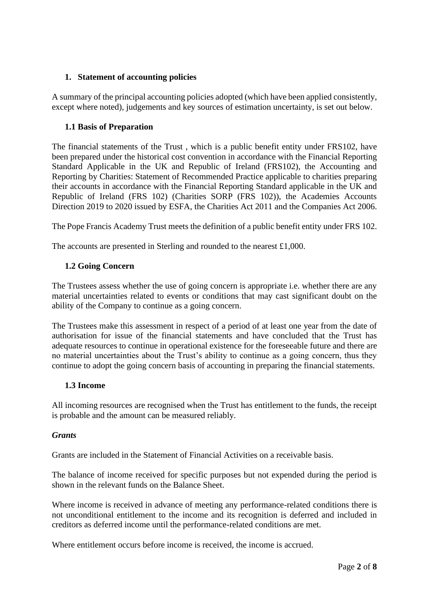## **1. Statement of accounting policies**

A summary of the principal accounting policies adopted (which have been applied consistently, except where noted), judgements and key sources of estimation uncertainty, is set out below.

## **1.1 Basis of Preparation**

The financial statements of the Trust , which is a public benefit entity under FRS102, have been prepared under the historical cost convention in accordance with the Financial Reporting Standard Applicable in the UK and Republic of Ireland (FRS102), the Accounting and Reporting by Charities: Statement of Recommended Practice applicable to charities preparing their accounts in accordance with the Financial Reporting Standard applicable in the UK and Republic of Ireland (FRS 102) (Charities SORP (FRS 102)), the Academies Accounts Direction 2019 to 2020 issued by ESFA, the Charities Act 2011 and the Companies Act 2006.

The Pope Francis Academy Trust meets the definition of a public benefit entity under FRS 102.

The accounts are presented in Sterling and rounded to the nearest £1,000.

## **1.2 Going Concern**

The Trustees assess whether the use of going concern is appropriate i.e. whether there are any material uncertainties related to events or conditions that may cast significant doubt on the ability of the Company to continue as a going concern.

The Trustees make this assessment in respect of a period of at least one year from the date of authorisation for issue of the financial statements and have concluded that the Trust has adequate resources to continue in operational existence for the foreseeable future and there are no material uncertainties about the Trust's ability to continue as a going concern, thus they continue to adopt the going concern basis of accounting in preparing the financial statements.

#### **1.3 Income**

All incoming resources are recognised when the Trust has entitlement to the funds, the receipt is probable and the amount can be measured reliably.

#### *Grants*

Grants are included in the Statement of Financial Activities on a receivable basis.

The balance of income received for specific purposes but not expended during the period is shown in the relevant funds on the Balance Sheet.

Where income is received in advance of meeting any performance-related conditions there is not unconditional entitlement to the income and its recognition is deferred and included in creditors as deferred income until the performance-related conditions are met.

Where entitlement occurs before income is received, the income is accrued.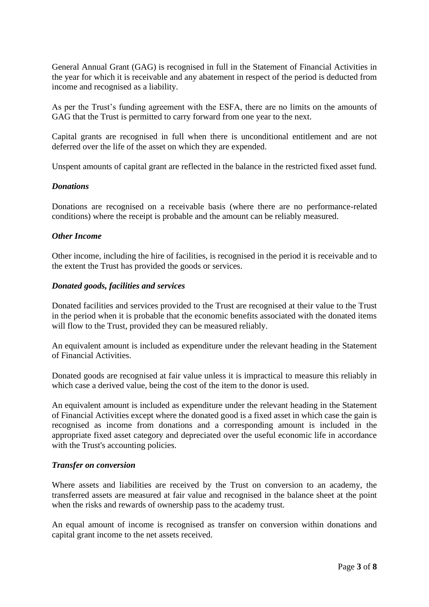General Annual Grant (GAG) is recognised in full in the Statement of Financial Activities in the year for which it is receivable and any abatement in respect of the period is deducted from income and recognised as a liability.

As per the Trust's funding agreement with the ESFA, there are no limits on the amounts of GAG that the Trust is permitted to carry forward from one year to the next.

Capital grants are recognised in full when there is unconditional entitlement and are not deferred over the life of the asset on which they are expended.

Unspent amounts of capital grant are reflected in the balance in the restricted fixed asset fund.

#### *Donations*

Donations are recognised on a receivable basis (where there are no performance-related conditions) where the receipt is probable and the amount can be reliably measured.

#### *Other Income*

Other income, including the hire of facilities, is recognised in the period it is receivable and to the extent the Trust has provided the goods or services.

#### *Donated goods, facilities and services*

Donated facilities and services provided to the Trust are recognised at their value to the Trust in the period when it is probable that the economic benefits associated with the donated items will flow to the Trust, provided they can be measured reliably.

An equivalent amount is included as expenditure under the relevant heading in the Statement of Financial Activities.

Donated goods are recognised at fair value unless it is impractical to measure this reliably in which case a derived value, being the cost of the item to the donor is used.

An equivalent amount is included as expenditure under the relevant heading in the Statement of Financial Activities except where the donated good is a fixed asset in which case the gain is recognised as income from donations and a corresponding amount is included in the appropriate fixed asset category and depreciated over the useful economic life in accordance with the Trust's accounting policies.

#### *Transfer on conversion*

Where assets and liabilities are received by the Trust on conversion to an academy, the transferred assets are measured at fair value and recognised in the balance sheet at the point when the risks and rewards of ownership pass to the academy trust.

An equal amount of income is recognised as transfer on conversion within donations and capital grant income to the net assets received.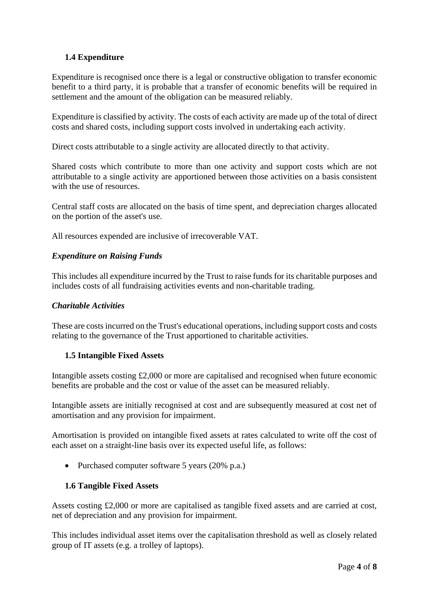## **1.4 Expenditure**

Expenditure is recognised once there is a legal or constructive obligation to transfer economic benefit to a third party, it is probable that a transfer of economic benefits will be required in settlement and the amount of the obligation can be measured reliably.

Expenditure is classified by activity. The costs of each activity are made up of the total of direct costs and shared costs, including support costs involved in undertaking each activity.

Direct costs attributable to a single activity are allocated directly to that activity.

Shared costs which contribute to more than one activity and support costs which are not attributable to a single activity are apportioned between those activities on a basis consistent with the use of resources.

Central staff costs are allocated on the basis of time spent, and depreciation charges allocated on the portion of the asset's use.

All resources expended are inclusive of irrecoverable VAT.

## *Expenditure on Raising Funds*

This includes all expenditure incurred by the Trust to raise funds for its charitable purposes and includes costs of all fundraising activities events and non-charitable trading.

#### *Charitable Activities*

These are costs incurred on the Trust's educational operations, including support costs and costs relating to the governance of the Trust apportioned to charitable activities.

#### **1.5 Intangible Fixed Assets**

Intangible assets costing £2,000 or more are capitalised and recognised when future economic benefits are probable and the cost or value of the asset can be measured reliably.

Intangible assets are initially recognised at cost and are subsequently measured at cost net of amortisation and any provision for impairment.

Amortisation is provided on intangible fixed assets at rates calculated to write off the cost of each asset on a straight-line basis over its expected useful life, as follows:

• Purchased computer software 5 years (20% p.a.)

#### **1.6 Tangible Fixed Assets**

Assets costing £2,000 or more are capitalised as tangible fixed assets and are carried at cost, net of depreciation and any provision for impairment.

This includes individual asset items over the capitalisation threshold as well as closely related group of IT assets (e.g. a trolley of laptops).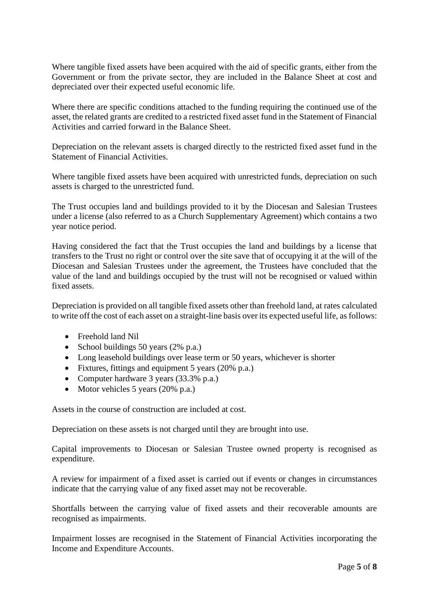Where tangible fixed assets have been acquired with the aid of specific grants, either from the Government or from the private sector, they are included in the Balance Sheet at cost and depreciated over their expected useful economic life.

Where there are specific conditions attached to the funding requiring the continued use of the asset, the related grants are credited to a restricted fixed asset fund in the Statement of Financial Activities and carried forward in the Balance Sheet.

Depreciation on the relevant assets is charged directly to the restricted fixed asset fund in the Statement of Financial Activities.

Where tangible fixed assets have been acquired with unrestricted funds, depreciation on such assets is charged to the unrestricted fund.

The Trust occupies land and buildings provided to it by the Diocesan and Salesian Trustees under a license (also referred to as a Church Supplementary Agreement) which contains a two year notice period.

Having considered the fact that the Trust occupies the land and buildings by a license that transfers to the Trust no right or control over the site save that of occupying it at the will of the Diocesan and Salesian Trustees under the agreement, the Trustees have concluded that the value of the land and buildings occupied by the trust will not be recognised or valued within fixed assets.

Depreciation is provided on all tangible fixed assets other than freehold land, at rates calculated to write off the cost of each asset on a straight-line basis over its expected useful life, as follows:

- Freehold land Nil
- School buildings 50 years (2% p.a.)
- Long leasehold buildings over lease term or 50 years, whichever is shorter
- Fixtures, fittings and equipment 5 years (20% p.a.)
- Computer hardware 3 years (33.3% p.a.)
- Motor vehicles 5 years (20% p.a.)

Assets in the course of construction are included at cost.

Depreciation on these assets is not charged until they are brought into use.

Capital improvements to Diocesan or Salesian Trustee owned property is recognised as expenditure.

A review for impairment of a fixed asset is carried out if events or changes in circumstances indicate that the carrying value of any fixed asset may not be recoverable.

Shortfalls between the carrying value of fixed assets and their recoverable amounts are recognised as impairments.

Impairment losses are recognised in the Statement of Financial Activities incorporating the Income and Expenditure Accounts.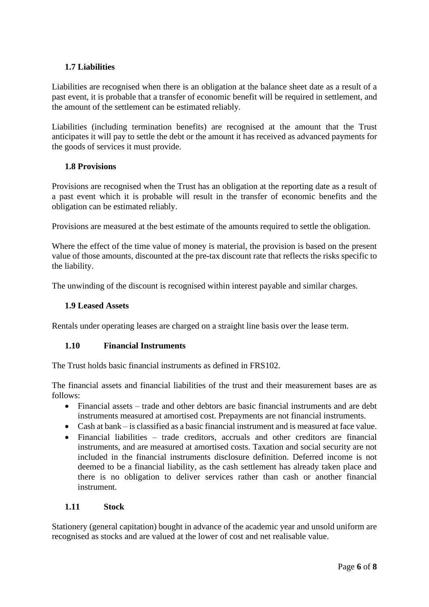## **1.7 Liabilities**

Liabilities are recognised when there is an obligation at the balance sheet date as a result of a past event, it is probable that a transfer of economic benefit will be required in settlement, and the amount of the settlement can be estimated reliably.

Liabilities (including termination benefits) are recognised at the amount that the Trust anticipates it will pay to settle the debt or the amount it has received as advanced payments for the goods of services it must provide.

#### **1.8 Provisions**

Provisions are recognised when the Trust has an obligation at the reporting date as a result of a past event which it is probable will result in the transfer of economic benefits and the obligation can be estimated reliably.

Provisions are measured at the best estimate of the amounts required to settle the obligation.

Where the effect of the time value of money is material, the provision is based on the present value of those amounts, discounted at the pre-tax discount rate that reflects the risks specific to the liability.

The unwinding of the discount is recognised within interest payable and similar charges.

#### **1.9 Leased Assets**

Rentals under operating leases are charged on a straight line basis over the lease term.

#### **1.10 Financial Instruments**

The Trust holds basic financial instruments as defined in FRS102.

The financial assets and financial liabilities of the trust and their measurement bases are as follows:

- Financial assets trade and other debtors are basic financial instruments and are debt instruments measured at amortised cost. Prepayments are not financial instruments.
- Cash at bank is classified as a basic financial instrument and is measured at face value.
- Financial liabilities trade creditors, accruals and other creditors are financial instruments, and are measured at amortised costs. Taxation and social security are not included in the financial instruments disclosure definition. Deferred income is not deemed to be a financial liability, as the cash settlement has already taken place and there is no obligation to deliver services rather than cash or another financial instrument.

#### **1.11 Stock**

Stationery (general capitation) bought in advance of the academic year and unsold uniform are recognised as stocks and are valued at the lower of cost and net realisable value.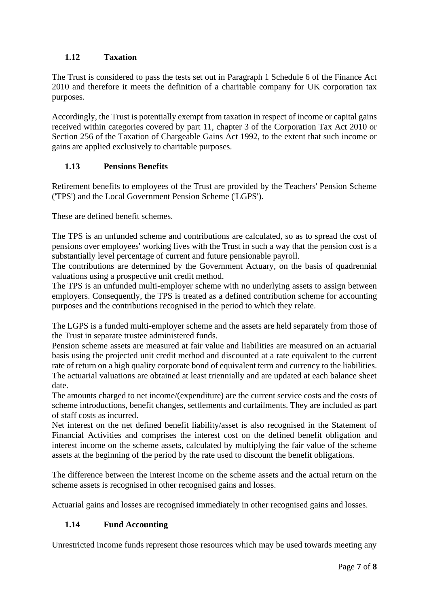## **1.12 Taxation**

The Trust is considered to pass the tests set out in Paragraph 1 Schedule 6 of the Finance Act 2010 and therefore it meets the definition of a charitable company for UK corporation tax purposes.

Accordingly, the Trust is potentially exempt from taxation in respect of income or capital gains received within categories covered by part 11, chapter 3 of the Corporation Tax Act 2010 or Section 256 of the Taxation of Chargeable Gains Act 1992, to the extent that such income or gains are applied exclusively to charitable purposes.

## **1.13 Pensions Benefits**

Retirement benefits to employees of the Trust are provided by the Teachers' Pension Scheme ('TPS') and the Local Government Pension Scheme ('LGPS').

These are defined benefit schemes.

The TPS is an unfunded scheme and contributions are calculated, so as to spread the cost of pensions over employees' working lives with the Trust in such a way that the pension cost is a substantially level percentage of current and future pensionable payroll.

The contributions are determined by the Government Actuary, on the basis of quadrennial valuations using a prospective unit credit method.

The TPS is an unfunded multi-employer scheme with no underlying assets to assign between employers. Consequently, the TPS is treated as a defined contribution scheme for accounting purposes and the contributions recognised in the period to which they relate.

The LGPS is a funded multi-employer scheme and the assets are held separately from those of the Trust in separate trustee administered funds.

Pension scheme assets are measured at fair value and liabilities are measured on an actuarial basis using the projected unit credit method and discounted at a rate equivalent to the current rate of return on a high quality corporate bond of equivalent term and currency to the liabilities. The actuarial valuations are obtained at least triennially and are updated at each balance sheet date.

The amounts charged to net income/(expenditure) are the current service costs and the costs of scheme introductions, benefit changes, settlements and curtailments. They are included as part of staff costs as incurred.

Net interest on the net defined benefit liability/asset is also recognised in the Statement of Financial Activities and comprises the interest cost on the defined benefit obligation and interest income on the scheme assets, calculated by multiplying the fair value of the scheme assets at the beginning of the period by the rate used to discount the benefit obligations.

The difference between the interest income on the scheme assets and the actual return on the scheme assets is recognised in other recognised gains and losses.

Actuarial gains and losses are recognised immediately in other recognised gains and losses.

## **1.14 Fund Accounting**

Unrestricted income funds represent those resources which may be used towards meeting any